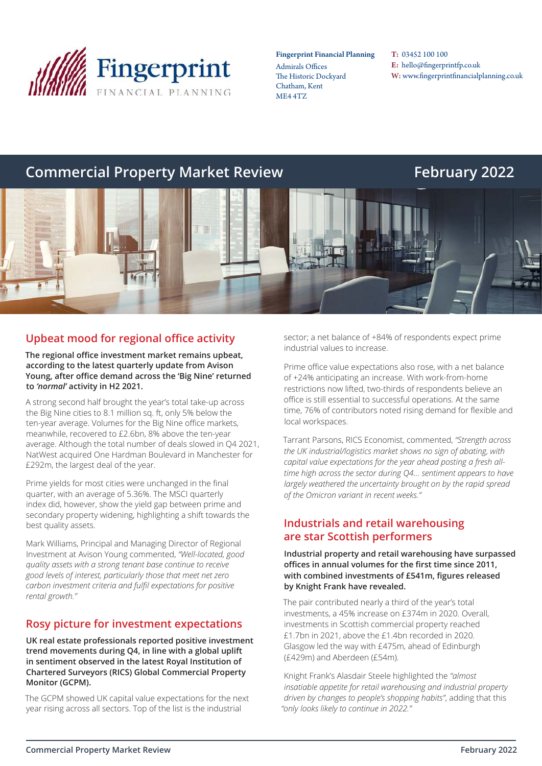

#### Fingerprint Financial Planning

Admirals Offices The Historic Dockyard Chatham, Kent ME4 4TZ

T: 03452 100 100 E: hello@fingerprintfp.co.uk W: www.fingerprintfinancialplanning.co.uk

# **Commercial Property Market Review Electronic Commercial Property Market Review Electronic February 2022**



## **Upbeat mood for regional office activity**

**The regional office investment market remains upbeat, according to the latest quarterly update from Avison Young, after office demand across the 'Big Nine' returned to** *'normal'* **activity in H2 2021.**

A strong second half brought the year's total take-up across the Big Nine cities to 8.1 million sq. ft, only 5% below the ten-year average. Volumes for the Big Nine office markets, meanwhile, recovered to £2.6bn, 8% above the ten-year average. Although the total number of deals slowed in Q4 2021, NatWest acquired One Hardman Boulevard in Manchester for £292m, the largest deal of the year.

Prime yields for most cities were unchanged in the final quarter, with an average of 5.36%. The MSCI quarterly index did, however, show the yield gap between prime and secondary property widening, highlighting a shift towards the best quality assets.

Mark Williams, Principal and Managing Director of Regional Investment at Avison Young commented, *"Well-located, good quality assets with a strong tenant base continue to receive good levels of interest, particularly those that meet net zero carbon investment criteria and fulfil expectations for positive rental growth."*

## **Rosy picture for investment expectations**

**UK real estate professionals reported positive investment trend movements during Q4, in line with a global uplift in sentiment observed in the latest Royal Institution of Chartered Surveyors (RICS) Global Commercial Property Monitor (GCPM).**

The GCPM showed UK capital value expectations for the next year rising across all sectors. Top of the list is the industrial

sector; a net balance of +84% of respondents expect prime industrial values to increase.

Prime office value expectations also rose, with a net balance of +24% anticipating an increase. With work-from-home restrictions now lifted, two-thirds of respondents believe an office is still essential to successful operations. At the same time, 76% of contributors noted rising demand for flexible and local workspaces.

Tarrant Parsons, RICS Economist, commented, *"Strength across the UK industrial/logistics market shows no sign of abating, with capital value expectations for the year ahead posting a fresh alltime high across the sector during Q4… sentiment appears to have largely weathered the uncertainty brought on by the rapid spread of the Omicron variant in recent weeks."*

## **Industrials and retail warehousing are star Scottish performers**

**Industrial property and retail warehousing have surpassed offices in annual volumes for the first time since 2011, with combined investments of £541m, figures released by Knight Frank have revealed.**

The pair contributed nearly a third of the year's total investments, a 45% increase on £374m in 2020. Overall, investments in Scottish commercial property reached £1.7bn in 2021, above the £1.4bn recorded in 2020. Glasgow led the way with £475m, ahead of Edinburgh (£429m) and Aberdeen (£54m).

Knight Frank's Alasdair Steele highlighted the *"almost insatiable appetite for retail warehousing and industrial property driven by changes to people's shopping habits"*, adding that this *"only looks likely to continue in 2022."*